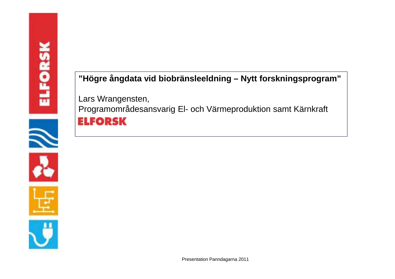## **"Högre ångdata vid biobränsleeldning – Nytt forskningsprogram"**

Lars Wrangensten, Programområdesansvarig El- och Värmeproduktion samt Kärnkraft **ELFORSK**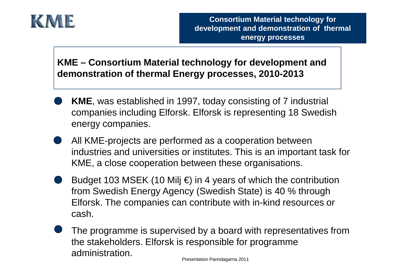

- **KME**, was established in 1997, today consisting of 7 industrial companies including Elforsk. Elforsk is representing 18 Swedish energy companies.
- All KME-projects are performed as a cooperation between industries and universities or institutes. This is an important task for KME, a close cooperation between these organisations.
- Budget 103 MSEK (10 Milj  $\epsilon$ ) in 4 years of which the contribution from Swedish Energy Agency (Swedish State) is 40 % through Elforsk. The companies can contribute with in-kind resources or cash.
- The programme is supervised by a board with representatives from the stakeholders. Elforsk is responsible for programme administration.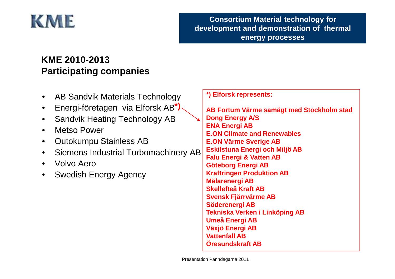

## **KME 2010-2013Participating companies**

| $\bullet$<br>$\bullet$<br>$\bullet$<br>$\bullet$<br>$\bullet$<br>$\bullet$<br>$\bullet$ | <b>AB Sandvik Materials Technology</b><br>Energi-företagen via Elforsk AB*)<br><b>Sandvik Heating Technology AB</b><br><b>Metso Power</b><br>Outokumpu Stainless AB<br>Siemens Industrial Turbomachinery AB<br><b>Volvo Aero</b><br><b>Swedish Energy Agency</b> | *) Elforsk represents:<br>AB Fortum Värme samägt med Stockholm stad<br><b>Dong Energy A/S</b><br><b>ENA Energi AB</b><br><b>E.ON Climate and Renewables</b><br><b>E.ON Värme Sverige AB</b><br>Eskilstuna Energi och Miljö AB<br><b>Falu Energi &amp; Vatten AB</b><br>Göteborg Energi AB<br><b>Kraftringen Produktion AB</b><br><b>Mälarenergi AB</b><br><b>Skellefteå Kraft AB</b><br><b>Svensk Fjärrvärme AB</b> |  |
|-----------------------------------------------------------------------------------------|------------------------------------------------------------------------------------------------------------------------------------------------------------------------------------------------------------------------------------------------------------------|---------------------------------------------------------------------------------------------------------------------------------------------------------------------------------------------------------------------------------------------------------------------------------------------------------------------------------------------------------------------------------------------------------------------|--|
|                                                                                         |                                                                                                                                                                                                                                                                  |                                                                                                                                                                                                                                                                                                                                                                                                                     |  |
|                                                                                         |                                                                                                                                                                                                                                                                  |                                                                                                                                                                                                                                                                                                                                                                                                                     |  |
|                                                                                         |                                                                                                                                                                                                                                                                  |                                                                                                                                                                                                                                                                                                                                                                                                                     |  |
|                                                                                         |                                                                                                                                                                                                                                                                  |                                                                                                                                                                                                                                                                                                                                                                                                                     |  |
|                                                                                         |                                                                                                                                                                                                                                                                  |                                                                                                                                                                                                                                                                                                                                                                                                                     |  |
|                                                                                         |                                                                                                                                                                                                                                                                  |                                                                                                                                                                                                                                                                                                                                                                                                                     |  |
|                                                                                         |                                                                                                                                                                                                                                                                  |                                                                                                                                                                                                                                                                                                                                                                                                                     |  |
|                                                                                         |                                                                                                                                                                                                                                                                  | Söderenergi AB                                                                                                                                                                                                                                                                                                                                                                                                      |  |
|                                                                                         |                                                                                                                                                                                                                                                                  | Tekniska Verken i Linköping AB                                                                                                                                                                                                                                                                                                                                                                                      |  |
|                                                                                         |                                                                                                                                                                                                                                                                  | <b>Umeå Energi AB</b>                                                                                                                                                                                                                                                                                                                                                                                               |  |
|                                                                                         |                                                                                                                                                                                                                                                                  | Växjö Energi AB                                                                                                                                                                                                                                                                                                                                                                                                     |  |
|                                                                                         |                                                                                                                                                                                                                                                                  | <b>Vattenfall AB</b>                                                                                                                                                                                                                                                                                                                                                                                                |  |
|                                                                                         |                                                                                                                                                                                                                                                                  | <b>Oresundskraft AB</b>                                                                                                                                                                                                                                                                                                                                                                                             |  |
|                                                                                         |                                                                                                                                                                                                                                                                  |                                                                                                                                                                                                                                                                                                                                                                                                                     |  |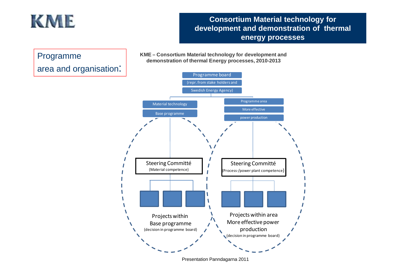# **KME**

Programme

## **Consortium Material technology for development and demonstration of thermal energy processes**



**KME – Consortium Material technology for development and** 

Presentation Panndagarna 2011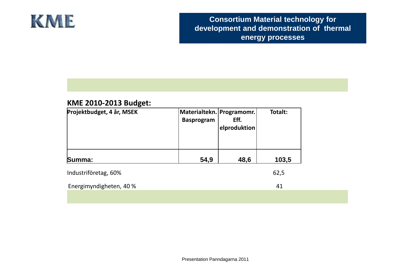

#### KME 2010-2013 Budget:

| Projektbudget, 4 år, MSEK | Materialtekn.   Programomr.  <br><b>Basprogram</b> | Eff.<br>elproduktion | Totalt: |
|---------------------------|----------------------------------------------------|----------------------|---------|
| Summa:                    | 54,9                                               | 48,6                 | 103,5   |
| Industriföretag, 60%      |                                                    |                      | 62,5    |
| Energimyndigheten, 40 %   |                                                    |                      | 41      |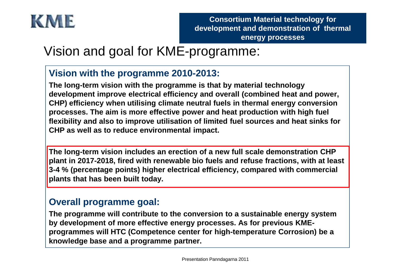

## Vision and goal for KME-programme:

## **Vision with the programme 2010-2013:**

**The long-term vision with the programme is that by material technology development improve electrical efficiency and overall (combined heat and power, CHP) efficiency when utilising climate neutral fuels in thermal energy conversion processes. The aim is more effective power and heat production with high fuel flexibility and also to improve utilisation of limited fuel sources and heat sinks for CHP as well as to reduce environmental impact.** 

**The long-term vision includes an erection of a new full scale demonstration CHP plant in 2017-2018, fired with renewable bio fuels and refuse fractions, with at least 3-4 % (percentage points) higher electrical efficiency, compared with commercial plants that has been built today.** 

## **Overall programme goal:**

**The programme will contribute to the conversion to a sustainable energy system by development of more effective energy processes. As for previous KMEprogrammes will HTC (Competence center for high-temperature Corrosion) be a knowledge base and a programme partner.**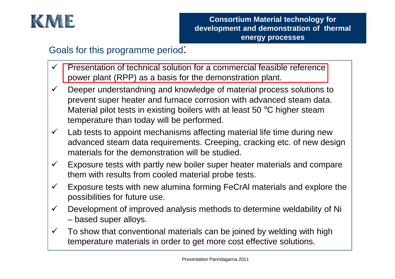

## Goals for this programme period:

- $\checkmark$  Presentation of technical solution for a commercial feasible reference power plant (RPP) as a basis for the demonstration plant.
- $\checkmark$  Deeper understandning and knowledge of material process solutions to prevent super heater and furnace corrosion with advanced steam data. Material pilot tests in existing boilers with at least 50 °C higher steam temperature than today will be performed.
- $\checkmark$  Lab tests to appoint mechanisms affecting material life time during new advanced steam data requirements. Creeping, cracking etc. of new design materials for the demonstration will be studied.
- $\checkmark$  Exposure tests with partly new boiler super heater materials and compare them with results from cooled material probe tests.
- $\checkmark$  Exposure tests with new alumina forming FeCrAl materials and explore the possibilities for future use.
- $\checkmark$  Development of improved analysis methods to determine weldability of Ni – based super alloys.
- $\checkmark$  To show that conventional materials can be joined by welding with high temperature materials in order to get more cost effective solutions.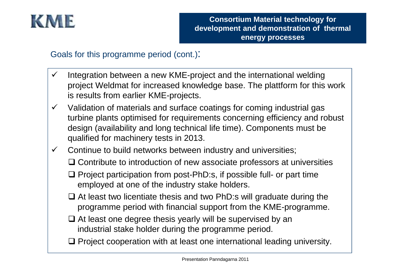

Goals for this programme period (cont.):

- $\checkmark$  Integration between a new KME-project and the international welding project Weldmat for increased knowledge base. The plattform for this work is results from earlier KME-projects.
- $\checkmark$  Validation of materials and surface coatings for coming industrial gas turbine plants optimised for requirements concerning efficiency and robust design (availability and long technical life time). Components must be qualified for machinery tests in 2013.
- $\checkmark$  Continue to build networks between industry and universities;
	- □ Contribute to introduction of new associate professors at universities
	- □ Project participation from post-PhD:s, if possible full- or part time employed at one of the industry stake holders.
	- □ At least two licentiate thesis and two PhD:s will graduate during the<br>nregramme period with financial support from the KME programme programme period with financial support from the KME-programme.
	- □ At least one degree thesis yearly will be supervised by an<br>industrial stake bolder during the pregramme period industrial stake holder during the programme period.
	- **□ Project cooperation with at least one international leading university.**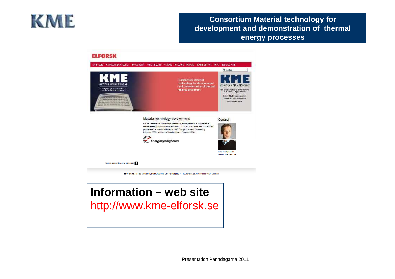# **KME**

## **Consortium Material technology for development and demonstration of thermal energy processes**



http://www.kme-elforsk.se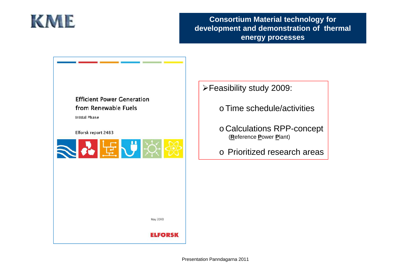



Feasibility study 2009:

- o Time schedule/activities
- o Calculations RPP-concept (**R**eference **P**ower **P**lant)
- o Prioritized research areas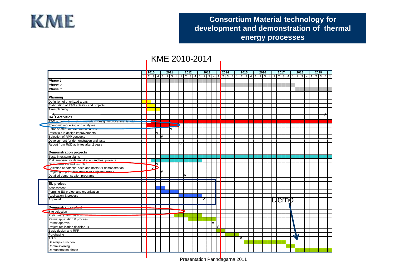

## KME 2010-2014

|                                                                                                             | 2010 |                         |    | 2011           |                         | 2012                    |  |   | 2013 |   |   | 2014 |  |    | 2015 |  | 2016 |  |      | 2017 |                                                                                                                                                                                                                                                                                                         | 2018 |  | 2019 |  |
|-------------------------------------------------------------------------------------------------------------|------|-------------------------|----|----------------|-------------------------|-------------------------|--|---|------|---|---|------|--|----|------|--|------|--|------|------|---------------------------------------------------------------------------------------------------------------------------------------------------------------------------------------------------------------------------------------------------------------------------------------------------------|------|--|------|--|
|                                                                                                             |      |                         |    |                |                         |                         |  |   |      |   |   |      |  |    |      |  |      |  |      |      | $1 \ 2 \ 3 \ 4 \ 1 \ 2 \ 3 \ 4 \ 1 \ 2 \ 3 \ 4 \ 1 \ 1 \ 2 \ 3 \ 4 \ 1 \ 1 \ 2 \ 3 \ 4 \ 1 \ 1 \ 2 \ 3 \ 4 \ 1 \ 1 \ 2 \ 3 \ 4 \ 1 \ 1 \ 2 \ 3 \ 4 \ 1 \ 1 \ 2 \ 3 \ 4 \ 1 \ 1 \ 2 \ 3 \ 4 \ 1 \ 1 \ 2 \ 3 \ 4 \ 1 \ 1 \ 2 \ 3 \ 4 \ 1 \ 1 \ 2 \ 3 \ 4 \ 1 \ 1 \ 2 \ 3 \ 4 \ 1 \ 1 \ 2 \ 3 \ 4 \ 1 \ 1$ |      |  |      |  |
| Phase 1                                                                                                     |      |                         |    |                |                         |                         |  |   |      |   |   |      |  |    |      |  |      |  |      |      |                                                                                                                                                                                                                                                                                                         |      |  |      |  |
| Phase 2                                                                                                     |      |                         |    |                |                         |                         |  |   |      |   |   |      |  |    |      |  |      |  |      |      |                                                                                                                                                                                                                                                                                                         |      |  |      |  |
| Phase 3                                                                                                     |      |                         |    |                |                         |                         |  |   |      |   |   |      |  |    |      |  |      |  |      |      |                                                                                                                                                                                                                                                                                                         |      |  |      |  |
|                                                                                                             |      |                         |    |                |                         |                         |  |   |      |   |   |      |  |    |      |  |      |  |      |      |                                                                                                                                                                                                                                                                                                         |      |  |      |  |
| Planning                                                                                                    |      |                         |    |                |                         |                         |  |   |      |   |   |      |  |    |      |  |      |  |      |      |                                                                                                                                                                                                                                                                                                         |      |  |      |  |
| Definition of prioritized areas                                                                             |      |                         |    |                |                         |                         |  |   |      |   |   |      |  |    |      |  |      |  |      |      |                                                                                                                                                                                                                                                                                                         |      |  |      |  |
| Elaboration of R&D activites and projects                                                                   |      |                         |    |                |                         |                         |  |   |      |   |   |      |  |    |      |  |      |  |      |      |                                                                                                                                                                                                                                                                                                         |      |  |      |  |
| Time planning                                                                                               |      |                         |    |                |                         |                         |  |   |      |   |   |      |  |    |      |  |      |  |      |      |                                                                                                                                                                                                                                                                                                         |      |  |      |  |
|                                                                                                             |      |                         |    |                |                         |                         |  |   |      |   |   |      |  |    |      |  |      |  |      |      |                                                                                                                                                                                                                                                                                                         |      |  |      |  |
| <b>R&amp;D Activities</b>                                                                                   |      |                         |    |                |                         |                         |  |   |      |   |   |      |  |    |      |  |      |  |      |      |                                                                                                                                                                                                                                                                                                         |      |  |      |  |
| R&D projects (correcion, materials, design improvemments, etc)                                              | ┲    |                         |    |                |                         |                         |  |   |      |   |   |      |  |    |      |  |      |  |      |      |                                                                                                                                                                                                                                                                                                         |      |  |      |  |
| Economic modelling and analyses                                                                             |      |                         |    |                |                         |                         |  |   |      |   |   |      |  |    |      |  |      |  |      |      |                                                                                                                                                                                                                                                                                                         |      |  |      |  |
| Estabishment or acctoral camidates                                                                          |      |                         |    | $\overline{v}$ |                         |                         |  |   |      |   |   |      |  |    |      |  |      |  |      |      |                                                                                                                                                                                                                                                                                                         |      |  |      |  |
| Potentials in design improvements                                                                           |      |                         | ⊽  |                |                         |                         |  |   |      |   |   |      |  |    |      |  |      |  |      |      |                                                                                                                                                                                                                                                                                                         |      |  |      |  |
| Selection of RPP concepts                                                                                   |      |                         | V  |                |                         |                         |  |   |      |   |   |      |  |    |      |  |      |  |      |      |                                                                                                                                                                                                                                                                                                         |      |  |      |  |
| Development for demonstration and tests                                                                     |      |                         |    |                |                         |                         |  |   |      |   |   |      |  |    |      |  |      |  |      |      |                                                                                                                                                                                                                                                                                                         |      |  |      |  |
| Report from R&D activites after 2 years                                                                     |      |                         |    |                | V                       |                         |  |   |      |   |   |      |  |    |      |  |      |  |      |      |                                                                                                                                                                                                                                                                                                         |      |  |      |  |
|                                                                                                             |      |                         |    |                |                         |                         |  |   |      |   |   |      |  |    |      |  |      |  |      |      |                                                                                                                                                                                                                                                                                                         |      |  |      |  |
| <b>Demonstration projects</b>                                                                               |      |                         |    |                |                         |                         |  |   |      |   |   |      |  |    |      |  |      |  |      |      |                                                                                                                                                                                                                                                                                                         |      |  |      |  |
|                                                                                                             |      |                         |    |                |                         |                         |  |   |      |   |   |      |  |    |      |  |      |  |      |      |                                                                                                                                                                                                                                                                                                         |      |  |      |  |
| Tests in existing plants                                                                                    |      |                         |    |                |                         |                         |  |   |      |   |   |      |  |    |      |  |      |  |      |      |                                                                                                                                                                                                                                                                                                         |      |  |      |  |
| Risk analyses for demonstration and test projects                                                           |      | ┺═┙                     |    |                |                         |                         |  |   |      |   |   |      |  |    |      |  |      |  |      |      |                                                                                                                                                                                                                                                                                                         |      |  |      |  |
| Demonstration and test plan                                                                                 |      | $\overline{\mathbf{v}}$ |    |                |                         |                         |  |   |      |   |   |      |  |    |      |  |      |  |      |      |                                                                                                                                                                                                                                                                                                         |      |  |      |  |
| Selection of potential sites and hosts for demonstration<br>Project group for demonstration projects formed |      |                         |    |                |                         |                         |  |   |      |   |   |      |  |    |      |  |      |  |      |      |                                                                                                                                                                                                                                                                                                         |      |  |      |  |
|                                                                                                             |      |                         | I۷ |                |                         | $\overline{\mathsf{v}}$ |  |   |      |   |   |      |  |    |      |  |      |  |      |      |                                                                                                                                                                                                                                                                                                         |      |  |      |  |
| Detailed demonstration programs                                                                             |      |                         |    |                |                         |                         |  |   |      |   |   |      |  |    |      |  |      |  |      |      |                                                                                                                                                                                                                                                                                                         |      |  |      |  |
|                                                                                                             |      |                         |    |                |                         |                         |  |   |      |   |   |      |  |    |      |  |      |  |      |      |                                                                                                                                                                                                                                                                                                         |      |  |      |  |
| EU project                                                                                                  |      |                         |    |                |                         |                         |  |   |      |   |   |      |  |    |      |  |      |  |      |      |                                                                                                                                                                                                                                                                                                         |      |  |      |  |
| Assessment                                                                                                  |      |                         |    |                |                         |                         |  |   |      |   |   |      |  |    |      |  |      |  |      |      |                                                                                                                                                                                                                                                                                                         |      |  |      |  |
| Forming EU project and organisation                                                                         |      |                         |    |                |                         |                         |  |   |      |   |   |      |  |    |      |  |      |  |      |      |                                                                                                                                                                                                                                                                                                         |      |  |      |  |
| Application & process                                                                                       |      |                         |    |                |                         |                         |  |   |      |   |   |      |  |    |      |  |      |  |      |      |                                                                                                                                                                                                                                                                                                         |      |  |      |  |
| Approval                                                                                                    |      |                         |    |                |                         |                         |  | v |      |   |   |      |  |    |      |  |      |  | Jemb |      |                                                                                                                                                                                                                                                                                                         |      |  |      |  |
|                                                                                                             |      |                         |    |                |                         |                         |  |   |      |   |   |      |  |    |      |  |      |  |      |      |                                                                                                                                                                                                                                                                                                         |      |  |      |  |
| Demonstration plant                                                                                         |      |                         |    |                |                         |                         |  |   |      |   |   |      |  |    |      |  |      |  |      |      |                                                                                                                                                                                                                                                                                                         |      |  |      |  |
| Site selection                                                                                              |      |                         |    |                | $\overline{\mathbf{v}}$ |                         |  |   |      |   |   |      |  |    |      |  |      |  |      |      |                                                                                                                                                                                                                                                                                                         |      |  |      |  |
| Preliminary basic design                                                                                    |      |                         |    |                |                         |                         |  |   |      |   |   |      |  |    |      |  |      |  |      |      |                                                                                                                                                                                                                                                                                                         |      |  |      |  |
| Permit application & process                                                                                |      |                         |    |                |                         |                         |  |   |      |   |   |      |  |    |      |  |      |  |      |      |                                                                                                                                                                                                                                                                                                         |      |  |      |  |
| Permit approval                                                                                             |      |                         |    |                |                         |                         |  |   |      | V |   |      |  |    |      |  |      |  |      |      |                                                                                                                                                                                                                                                                                                         |      |  |      |  |
| Project realisation decision TG2                                                                            |      |                         |    |                |                         |                         |  |   |      |   | v |      |  |    |      |  |      |  |      |      |                                                                                                                                                                                                                                                                                                         |      |  |      |  |
| Basic design and RFP                                                                                        |      |                         |    |                |                         |                         |  |   |      |   |   |      |  |    |      |  |      |  |      |      |                                                                                                                                                                                                                                                                                                         |      |  |      |  |
|                                                                                                             |      |                         |    |                |                         |                         |  |   |      |   |   |      |  |    |      |  |      |  |      |      |                                                                                                                                                                                                                                                                                                         | ١o   |  |      |  |
|                                                                                                             |      |                         |    |                |                         |                         |  |   |      |   |   |      |  | I۷ |      |  |      |  |      |      |                                                                                                                                                                                                                                                                                                         |      |  |      |  |
|                                                                                                             |      |                         |    |                |                         |                         |  |   |      |   |   |      |  |    |      |  |      |  |      |      |                                                                                                                                                                                                                                                                                                         |      |  |      |  |
| Purchasing<br>TG 3<br>Delivery & Erection                                                                   |      |                         |    |                |                         |                         |  |   |      |   |   |      |  |    |      |  |      |  |      |      |                                                                                                                                                                                                                                                                                                         |      |  |      |  |
| Commissioning<br>Demonstration phase                                                                        |      |                         |    |                |                         |                         |  |   |      |   |   |      |  |    |      |  |      |  |      |      |                                                                                                                                                                                                                                                                                                         |      |  |      |  |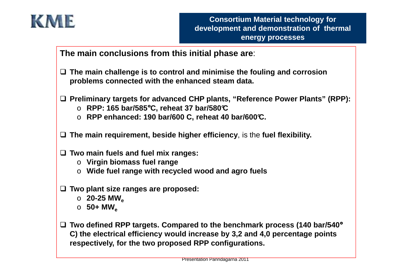

**The main conclusions from this initial phase are**:

- □ The main challenge is to control and minimise the fouling and corrosion **problems** connected with the enhanced steam data **problems connected with the enhanced steam data.**
- □ Preliminary targets for advanced CHP plants, "Reference Power Plants" (RPP):<br>△ PPP: 165 har/585°C\_roboat 37 har/580℃
	- o **RPP: 165 bar/585**°**C, reheat 37 bar/580°C**
	- o **RPP enhanced: 190 bar/600 C, reheat 40 bar/600°C.**
- **The main requirement, beside higher efficiency**, is the **fuel flexibility.**
- **Two main fuels and fuel mix ranges:**
	- o **Virgin biomass fuel range**
	- o **Wide fuel range with recycled wood and agro fuels**
- **Two plant size ranges are proposed:**
	- o **20-25 MWe**
	- o **50+ MWe**
- □ Two defined RPP targets. Compared to the benchmark process (140 bar/540<sup>°</sup> **C) the electrical efficiency would increase by 3,2 and 4,0 percentage points respectively, for the two proposed RPP configurations.**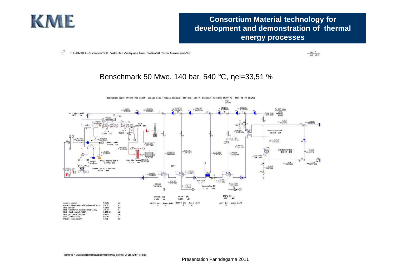

 $\mathbf{f}$ THERMOFLEX Version 19.3 Vattenfall Workplace User Vattenfall Power Consultant AB



#### Benschmark 50 Mwe, 140 bar, 540 °C, ηel=33,51 %

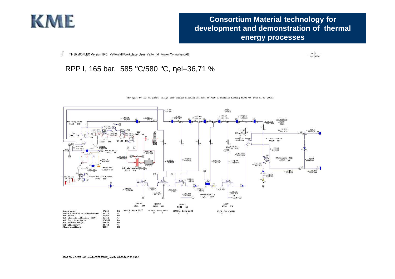

 $\mathcal{H}$ THERMOFLEX Version 19.0 Vattenfall Workplace User Vattenfall Power Consultant AB



RPP I, 165 bar, 585 °C/580 °C, ηel=36,71 %



NPP appr. 50 MMw CHP plant. Design case (virgin blomass) 165 bar, 585/580 C. District heating 45/90 °C. 2010-01-20 (PAJP)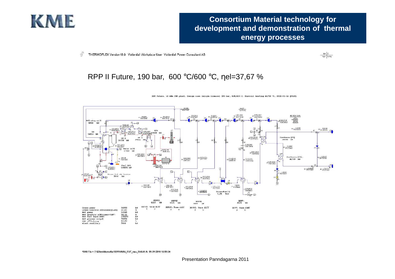

 $\mathrm{f}$ THERMOFLEX Version19.0 Vattenfall Workplace User Vattenfall Power Consultant AB



#### RPP II Future, 190 bar, 600 °C/600 °C, ηel=37,67 %



BPP Puture, 50 MWs CRP plant, Design case (wirgin biomass) 198 har. 600/600 C. District heating 45/98 °C. 2010-01-14 (PRIP)

1909 File = C:\Elforsk\termoflex\RPP50MW\_FUT\_new\_RH540.ffx 01-21-2010 10:02:29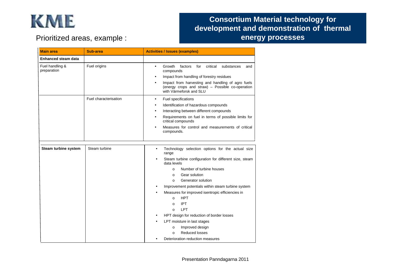## KME

## Prioritized areas, example :

## **Consortium Material technology for development and demonstration of thermal energy processes**

| <b>Main area</b>               | Sub-area              | <b>Activities / Issues (examples)</b>                                                                                                                                                                                                                                                                                                                                                                                                                                                                                                                                                                     |
|--------------------------------|-----------------------|-----------------------------------------------------------------------------------------------------------------------------------------------------------------------------------------------------------------------------------------------------------------------------------------------------------------------------------------------------------------------------------------------------------------------------------------------------------------------------------------------------------------------------------------------------------------------------------------------------------|
| <b>Enhanced steam data</b>     |                       |                                                                                                                                                                                                                                                                                                                                                                                                                                                                                                                                                                                                           |
| Fuel handling &<br>preparation | Fuel origins          | Growth<br>factors<br>for<br>critical<br>substances<br>and<br>$\bullet$<br>compounds<br>Impact from handling of forestry residues<br>$\bullet$<br>Impact from harvesting and handling of agro fuels<br>$\bullet$<br>(energy crops and straw) - Possible co-operation<br>with Värmeforsk and SLU                                                                                                                                                                                                                                                                                                            |
|                                | Fuel characterisation | Fuel specifications<br>$\bullet$<br>Identification of hazardous compounds<br>$\bullet$<br>Interacting between different compounds<br>$\bullet$<br>Requirements on fuel in terms of possible limits for<br>$\bullet$<br>critical compounds<br>Measures for control and measurements of critical<br>$\bullet$<br>compounds.                                                                                                                                                                                                                                                                                 |
| Steam turbine system           | Steam turbine         | Technology selection options for the actual size<br>range<br>Steam turbine configuration for different size, steam<br>data levels<br>Number of turbine houses<br>$\circ$<br>Gear solution<br>$\Omega$<br>Generator solution<br>$\Omega$<br>Improvement potentials within steam turbine system<br>Measures for improved isentropic efficiencies in<br><b>HPT</b><br>$\circ$<br><b>IPT</b><br>$\circ$<br>LPT<br>$\Omega$<br>HPT design for reduction of border losses<br>LPT moisture in last stages<br>Improved design<br>$\circ$<br><b>Reduced losses</b><br>$\Omega$<br>Deterioration reduction measures |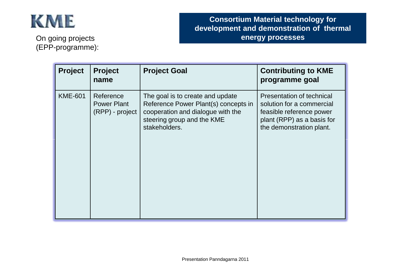

On going projects(EPP-programme):

## **Consortium Material technology for development and demonstration of thermal energy processes**

| <b>Project</b> | <b>Project</b><br>name                             | <b>Project Goal</b>                                                                                                                                          | <b>Contributing to KME</b><br>programme goal                                                                                                        |
|----------------|----------------------------------------------------|--------------------------------------------------------------------------------------------------------------------------------------------------------------|-----------------------------------------------------------------------------------------------------------------------------------------------------|
| <b>KME-601</b> | Reference<br><b>Power Plant</b><br>(RPP) - project | The goal is to create and update<br>Reference Power Plant(s) concepts in<br>cooperation and dialogue with the<br>steering group and the KME<br>stakeholders. | <b>Presentation of technical</b><br>solution for a commercial<br>feasible reference power<br>plant (RPP) as a basis for<br>the demonstration plant. |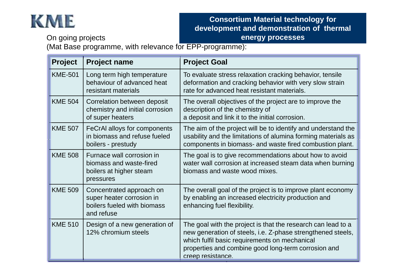

On going projects(Mat Base programme, with relevance for EPP-programme):

| <b>Project</b> | <b>Project name</b>                                                                                | <b>Project Goal</b>                                                                                                                                                                                                                                      |
|----------------|----------------------------------------------------------------------------------------------------|----------------------------------------------------------------------------------------------------------------------------------------------------------------------------------------------------------------------------------------------------------|
| <b>KME-501</b> | Long term high temperature<br>behaviour of advanced heat<br>resistant materials                    | To evaluate stress relaxation cracking behavior, tensile<br>deformation and cracking behavior with very slow strain<br>rate for advanced heat resistant materials.                                                                                       |
| <b>KME 504</b> | Correlation between deposit<br>chemistry and initial corrosion<br>of super heaters                 | The overall objectives of the project are to improve the<br>description of the chemistry of<br>a deposit and link it to the initial corrosion.                                                                                                           |
| <b>KME 507</b> | FeCrAI alloys for components<br>in biomass and refuse fueled<br>boilers - prestudy                 | The aim of the project will be to identify and understand the<br>usability and the limitations of alumina forming materials as<br>components in biomass- and waste fired combustion plant.                                                               |
| <b>KME 508</b> | Furnace wall corrosion in<br>biomass and waste-fired<br>boilers at higher steam<br>pressures       | The goal is to give recommendations about how to avoid<br>water wall corrosion at increased steam data when burning<br>biomass and waste wood mixes.                                                                                                     |
| <b>KME 509</b> | Concentrated approach on<br>super heater corrosion in<br>boilers fueled with biomass<br>and refuse | The overall goal of the project is to improve plant economy<br>by enabling an increased electricity production and<br>enhancing fuel flexibility.                                                                                                        |
| <b>KME 510</b> | Design of a new generation of<br>12% chromium steels                                               | The goal with the project is that the research can lead to a<br>new generation of steels, i.e. Z-phase strengthened steels,<br>which fulfil basic requirements on mechanical<br>properties and combine good long-term corrosion and<br>creep resistance. |